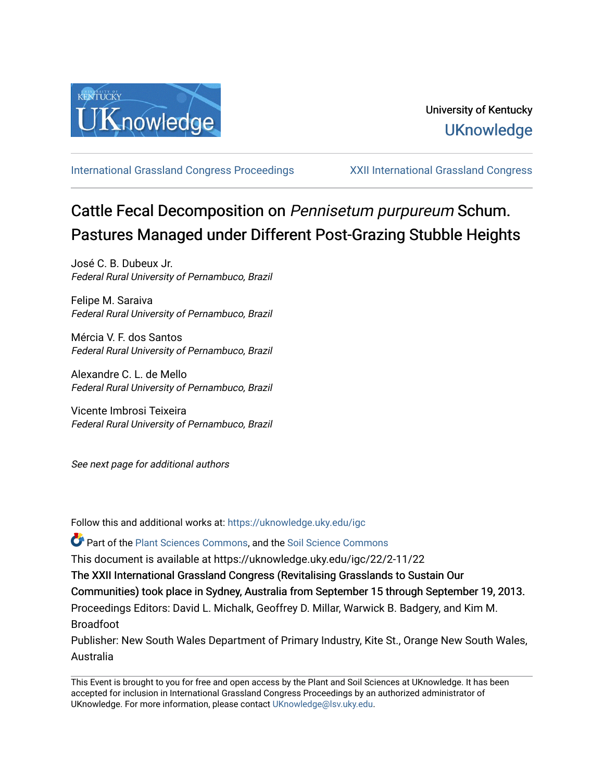

[International Grassland Congress Proceedings](https://uknowledge.uky.edu/igc) [XXII International Grassland Congress](https://uknowledge.uky.edu/igc/22) 

# Cattle Fecal Decomposition on Pennisetum purpureum Schum. Pastures Managed under Different Post-Grazing Stubble Heights

José C. B. Dubeux Jr. Federal Rural University of Pernambuco, Brazil

Felipe M. Saraiva Federal Rural University of Pernambuco, Brazil

Mércia V. F. dos Santos Federal Rural University of Pernambuco, Brazil

Alexandre C. L. de Mello Federal Rural University of Pernambuco, Brazil

Vicente Imbrosi Teixeira Federal Rural University of Pernambuco, Brazil

See next page for additional authors

Follow this and additional works at: [https://uknowledge.uky.edu/igc](https://uknowledge.uky.edu/igc?utm_source=uknowledge.uky.edu%2Figc%2F22%2F2-11%2F22&utm_medium=PDF&utm_campaign=PDFCoverPages) 

Part of the [Plant Sciences Commons](http://network.bepress.com/hgg/discipline/102?utm_source=uknowledge.uky.edu%2Figc%2F22%2F2-11%2F22&utm_medium=PDF&utm_campaign=PDFCoverPages), and the [Soil Science Commons](http://network.bepress.com/hgg/discipline/163?utm_source=uknowledge.uky.edu%2Figc%2F22%2F2-11%2F22&utm_medium=PDF&utm_campaign=PDFCoverPages) 

This document is available at https://uknowledge.uky.edu/igc/22/2-11/22

The XXII International Grassland Congress (Revitalising Grasslands to Sustain Our

Communities) took place in Sydney, Australia from September 15 through September 19, 2013.

Proceedings Editors: David L. Michalk, Geoffrey D. Millar, Warwick B. Badgery, and Kim M. Broadfoot

Publisher: New South Wales Department of Primary Industry, Kite St., Orange New South Wales, Australia

This Event is brought to you for free and open access by the Plant and Soil Sciences at UKnowledge. It has been accepted for inclusion in International Grassland Congress Proceedings by an authorized administrator of UKnowledge. For more information, please contact [UKnowledge@lsv.uky.edu](mailto:UKnowledge@lsv.uky.edu).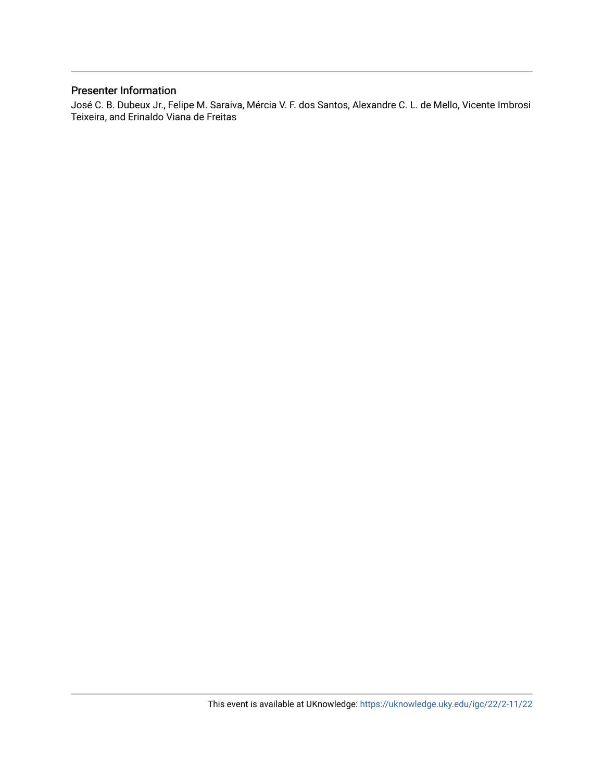### Presenter Information

José C. B. Dubeux Jr., Felipe M. Saraiva, Mércia V. F. dos Santos, Alexandre C. L. de Mello, Vicente Imbrosi Teixeira, and Erinaldo Viana de Freitas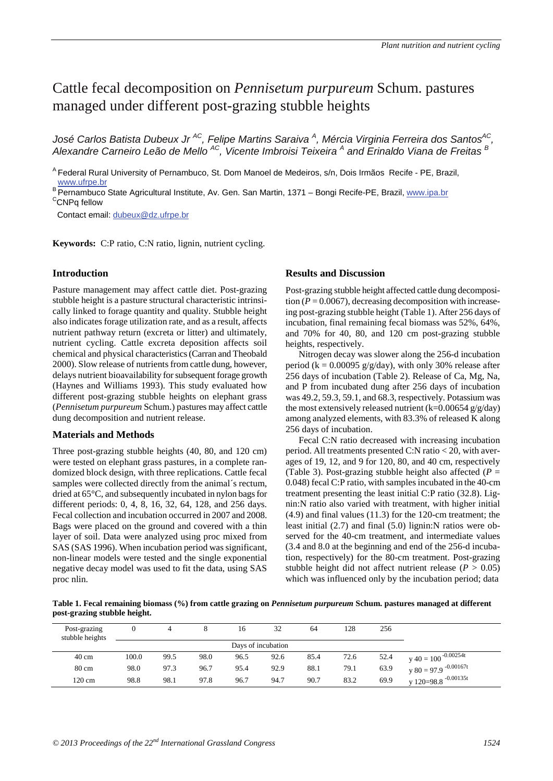## Cattle fecal decomposition on *Pennisetum purpureum* Schum. pastures managed under different post-grazing stubble heights

*José Carlos Batista Dubeux Jr AC, Felipe Martins Saraiva <sup>A</sup> , Mércia Virginia Ferreira dos SantosAC, Alexandre Carneiro Leão de Mello AC, Vicente Imbroisi Teixeira <sup>A</sup> and Erinaldo Viana de Freitas <sup>B</sup>*

A Federal Rural University of Pernambuco, St. Dom Manoel de Medeiros, s/n, Dois Irmãos Recife - PE, Brazil, www.ufrpe.br

<sup>B</sup> Pernambuco State Agricultural Institute, Av. Gen. San Martin, 1371 – Bongi Recife-PE, Brazil, www.ipa.br <sup>C</sup>CNPq fellow

Contact email: dubeux@dz.ufrpe.br

**Keywords:** C:P ratio, C:N ratio, lignin, nutrient cycling.

#### **Introduction**

Pasture management may affect cattle diet. Post-grazing stubble height is a pasture structural characteristic intrinsically linked to forage quantity and quality. Stubble height also indicates forage utilization rate, and as a result, affects nutrient pathway return (excreta or litter) and ultimately, nutrient cycling. Cattle excreta deposition affects soil chemical and physical characteristics (Carran and Theobald 2000). Slow release of nutrients from cattle dung, however, delays nutrient bioavailability for subsequent forage growth (Haynes and Williams 1993). This study evaluated how different post-grazing stubble heights on elephant grass (*Pennisetum purpureum* Schum.) pastures may affect cattle dung decomposition and nutrient release.

#### **Materials and Methods**

Three post-grazing stubble heights (40, 80, and 120 cm) were tested on elephant grass pastures, in a complete randomized block design, with three replications. Cattle fecal samples were collected directly from the animal´s rectum, dried at 65°C, and subsequently incubated in nylon bags for different periods: 0, 4, 8, 16, 32, 64, 128, and 256 days. Fecal collection and incubation occurred in 2007 and 2008. Bags were placed on the ground and covered with a thin layer of soil. Data were analyzed using proc mixed from SAS (SAS 1996). When incubation period was significant, non-linear models were tested and the single exponential negative decay model was used to fit the data, using SAS proc nlin.

#### **Results and Discussion**

Post-grazing stubble height affected cattle dung decomposition  $(P = 0.0067)$ , decreasing decomposition with increaseing post-grazing stubble height (Table 1). After 256 days of incubation, final remaining fecal biomass was 52%, 64%, and 70% for 40, 80, and 120 cm post-grazing stubble heights, respectively.

Nitrogen decay was slower along the 256-d incubation period ( $k = 0.00095$  g/g/day), with only 30% release after 256 days of incubation (Table 2). Release of Ca, Mg, Na, and P from incubated dung after 256 days of incubation was 49.2, 59.3, 59.1, and 68.3, respectively. Potassium was the most extensively released nutrient  $(k=0.00654 g/g/day)$ among analyzed elements, with 83.3% of released K along 256 days of incubation.

Fecal C:N ratio decreased with increasing incubation period. All treatments presented C:N ratio < 20, with averages of 19, 12, and 9 for 120, 80, and 40 cm, respectively (Table 3). Post-grazing stubble height also affected  $(P =$ 0.048) fecal C:P ratio, with samples incubated in the 40-cm treatment presenting the least initial C:P ratio (32.8). Lignin:N ratio also varied with treatment, with higher initial (4.9) and final values (11.3) for the 120-cm treatment; the least initial (2.7) and final (5.0) lignin:N ratios were observed for the 40-cm treatment, and intermediate values (3.4 and 8.0 at the beginning and end of the 256-d incubation, respectively) for the 80-cm treatment. Post-grazing stubble height did not affect nutrient release  $(P > 0.05)$ which was influenced only by the incubation period; data

**Table 1. Fecal remaining biomass (%) from cattle grazing on** *Pennisetum purpureum* **Schum. pastures managed at different post-grazing stubble height.**

| Post-grazing<br>stubble heights |                    |      |      | 16   | 32   | 64   | 128  | 256  |                                    |  |  |  |
|---------------------------------|--------------------|------|------|------|------|------|------|------|------------------------------------|--|--|--|
|                                 | Days of incubation |      |      |      |      |      |      |      |                                    |  |  |  |
| $40 \text{ cm}$                 | 100.0              | 99.5 | 98.0 | 96.5 | 92.6 | 85.4 | 72.6 | 52.4 | $v 40 = 100^{-0.00254t}$           |  |  |  |
| 80 cm                           | 98.0               | 97.3 | 96.7 | 95.4 | 92.9 | 88.1 | 79.1 | 63.9 | $v 80 = 97.9$ <sup>-0.00167t</sup> |  |  |  |
| 120 cm                          | 98.8               | 98.1 | 97.8 | 96.7 | 94.7 | 90.7 | 83.2 | 69.9 | y 120=98.8 $-0.00135t$             |  |  |  |